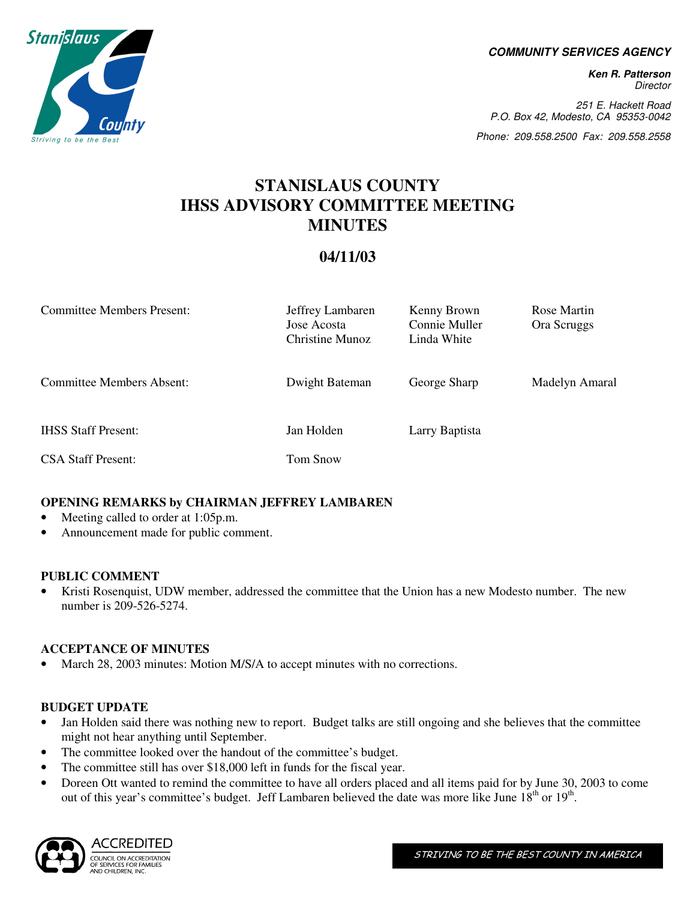**COMMUNITY SERVICES AGENCY** 

**Ken R. Patterson**  Director

251 E. Hackett Road P.O. Box 42, Modesto, CA 95353-0042

Phone: 209.558.2500 Fax: 209.558.2558

# **STANISLAUS COUNTY IHSS ADVISORY COMMITTEE MEETING MINUTES**

# **04/11/03**

| <b>Committee Members Present:</b> | Jeffrey Lambaren<br>Jose Acosta<br>Christine Munoz | Kenny Brown<br>Connie Muller<br>Linda White | Rose Martin<br>Ora Scruggs |
|-----------------------------------|----------------------------------------------------|---------------------------------------------|----------------------------|
| <b>Committee Members Absent:</b>  | Dwight Bateman                                     | George Sharp                                | Madelyn Amaral             |
| <b>IHSS Staff Present:</b>        | Jan Holden                                         | Larry Baptista                              |                            |
| <b>CSA Staff Present:</b>         | Tom Snow                                           |                                             |                            |

# **OPENING REMARKS by CHAIRMAN JEFFREY LAMBAREN**

- Meeting called to order at 1:05p.m.
- Announcement made for public comment.

# **PUBLIC COMMENT**

• Kristi Rosenquist, UDW member, addressed the committee that the Union has a new Modesto number. The new number is 209-526-5274.

# **ACCEPTANCE OF MINUTES**

March 28, 2003 minutes: Motion M/S/A to accept minutes with no corrections.

# **BUDGET UPDATE**

- Jan Holden said there was nothing new to report. Budget talks are still ongoing and she believes that the committee might not hear anything until September.
- The committee looked over the handout of the committee's budget.
- The committee still has over \$18,000 left in funds for the fiscal year.
- Doreen Ott wanted to remind the committee to have all orders placed and all items paid for by June 30, 2003 to come out of this year's committee's budget. Jeff Lambaren believed the date was more like June 18<sup>th</sup> or 19<sup>th</sup>.



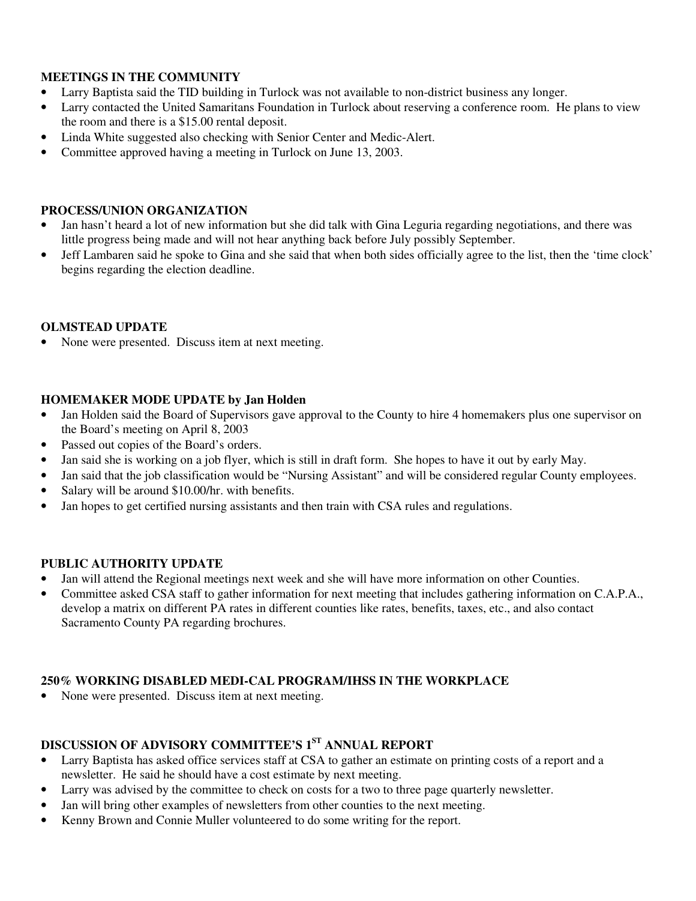# **MEETINGS IN THE COMMUNITY**

- Larry Baptista said the TID building in Turlock was not available to non-district business any longer.
- Larry contacted the United Samaritans Foundation in Turlock about reserving a conference room. He plans to view the room and there is a \$15.00 rental deposit.
- Linda White suggested also checking with Senior Center and Medic-Alert.
- Committee approved having a meeting in Turlock on June 13, 2003.

#### **PROCESS/UNION ORGANIZATION**

- Jan hasn't heard a lot of new information but she did talk with Gina Leguria regarding negotiations, and there was little progress being made and will not hear anything back before July possibly September.
- Jeff Lambaren said he spoke to Gina and she said that when both sides officially agree to the list, then the 'time clock' begins regarding the election deadline.

#### **OLMSTEAD UPDATE**

• None were presented. Discuss item at next meeting.

#### **HOMEMAKER MODE UPDATE by Jan Holden**

- Jan Holden said the Board of Supervisors gave approval to the County to hire 4 homemakers plus one supervisor on the Board's meeting on April 8, 2003
- Passed out copies of the Board's orders.
- Jan said she is working on a job flyer, which is still in draft form. She hopes to have it out by early May.
- Jan said that the job classification would be "Nursing Assistant" and will be considered regular County employees.
- Salary will be around \$10.00/hr. with benefits.
- Jan hopes to get certified nursing assistants and then train with CSA rules and regulations.

#### **PUBLIC AUTHORITY UPDATE**

- Jan will attend the Regional meetings next week and she will have more information on other Counties.
- Committee asked CSA staff to gather information for next meeting that includes gathering information on C.A.P.A., develop a matrix on different PA rates in different counties like rates, benefits, taxes, etc., and also contact Sacramento County PA regarding brochures.

# **250% WORKING DISABLED MEDI-CAL PROGRAM/IHSS IN THE WORKPLACE**

None were presented. Discuss item at next meeting.

# **DISCUSSION OF ADVISORY COMMITTEE'S 1ST ANNUAL REPORT**

- Larry Baptista has asked office services staff at CSA to gather an estimate on printing costs of a report and a newsletter. He said he should have a cost estimate by next meeting.
- Larry was advised by the committee to check on costs for a two to three page quarterly newsletter.
- Jan will bring other examples of newsletters from other counties to the next meeting.
- Kenny Brown and Connie Muller volunteered to do some writing for the report.